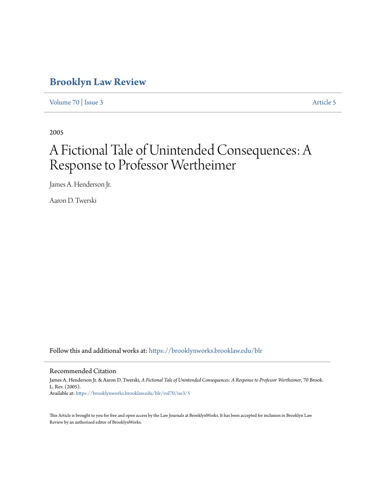## **[Brooklyn Law Review](https://brooklynworks.brooklaw.edu/blr?utm_source=brooklynworks.brooklaw.edu%2Fblr%2Fvol70%2Fiss3%2F5&utm_medium=PDF&utm_campaign=PDFCoverPages)**

[Volume 70](https://brooklynworks.brooklaw.edu/blr/vol70?utm_source=brooklynworks.brooklaw.edu%2Fblr%2Fvol70%2Fiss3%2F5&utm_medium=PDF&utm_campaign=PDFCoverPages) | [Issue 3](https://brooklynworks.brooklaw.edu/blr/vol70/iss3?utm_source=brooklynworks.brooklaw.edu%2Fblr%2Fvol70%2Fiss3%2F5&utm_medium=PDF&utm_campaign=PDFCoverPages) [Article 5](https://brooklynworks.brooklaw.edu/blr/vol70/iss3/5?utm_source=brooklynworks.brooklaw.edu%2Fblr%2Fvol70%2Fiss3%2F5&utm_medium=PDF&utm_campaign=PDFCoverPages)

2005

# A Fictional Tale of Unintended Consequences: A Response to Professor Wertheimer

James A. Henderson Jr.

Aaron D. Twerski

Follow this and additional works at: [https://brooklynworks.brooklaw.edu/blr](https://brooklynworks.brooklaw.edu/blr?utm_source=brooklynworks.brooklaw.edu%2Fblr%2Fvol70%2Fiss3%2F5&utm_medium=PDF&utm_campaign=PDFCoverPages)

#### Recommended Citation

James A. Henderson Jr. & Aaron D. Twerski, *A Fictional Tale of Unintended Consequences: A Response to Professor Wertheimer*, 70 Brook. L. Rev. (2005). Available at: [https://brooklynworks.brooklaw.edu/blr/vol70/iss3/5](https://brooklynworks.brooklaw.edu/blr/vol70/iss3/5?utm_source=brooklynworks.brooklaw.edu%2Fblr%2Fvol70%2Fiss3%2F5&utm_medium=PDF&utm_campaign=PDFCoverPages)

This Article is brought to you for free and open access by the Law Journals at BrooklynWorks. It has been accepted for inclusion in Brooklyn Law Review by an authorized editor of BrooklynWorks.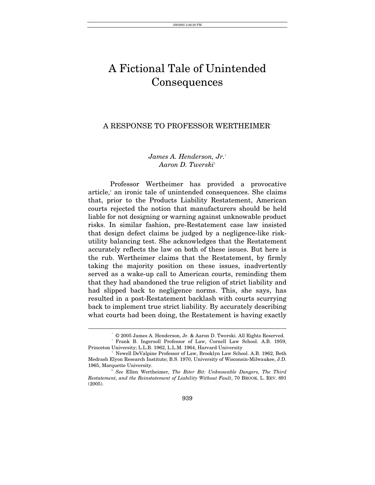## A Fictional Tale of Unintended **Consequences**

## A RESPONSE TO PROFESSOR WERTHEIMER[\\*](#page-1-0)

## *James A. Henderson, Jr.*[†](#page-1-1) *Aaron D. Twerski*[‡](#page-1-2)

Professor Wertheimer has provided a provocative article,<sup>[1](#page-1-3)</sup> an ironic tale of unintended consequences. She claims that, prior to the Products Liability Restatement, American courts rejected the notion that manufacturers should be held liable for not designing or warning against unknowable product risks. In similar fashion, pre-Restatement case law insisted that design defect claims be judged by a negligence-like riskutility balancing test. She acknowledges that the Restatement accurately reflects the law on both of these issues. But here is the rub. Wertheimer claims that the Restatement, by firmly taking the majority position on these issues, inadvertently served as a wake-up call to American courts, reminding them that they had abandoned the true religion of strict liability and had slipped back to negligence norms. This, she says, has resulted in a post-Restatement backlash with courts scurrying back to implement true strict liability. By accurately describing what courts had been doing, the Restatement is having exactly

 $\overline{a}$ 

<span id="page-1-2"></span><span id="page-1-1"></span><span id="page-1-0"></span>\*

 $\degree$  © 2005 James A. Henderson, Jr. & Aaron D. Twerski. All Rights Reserved.  $\degree$  Frank B. Ingersoll Professor of Law, Cornell Law School. A.B. 1959, Princeton University; L.L.B. 1962, L.L.M. 1964, Harvard University<br>
<sup>‡</sup> Newell DeValpine Professor of Law, Brooklyn Law School. A.B. 1962, Beth

Medrash Elyon Research Institute; B.S. 1970, University of Wisconsin-Milwaukee, J.D. 1965, Marquette University. 1

<span id="page-1-3"></span>*See* Ellen Wertheimer, *The Biter Bit: Unknowable Dangers, The Third Restatement, and the Reinstatement of Liability Without Fault*, 70 BROOK. L. REV. 891 (2005).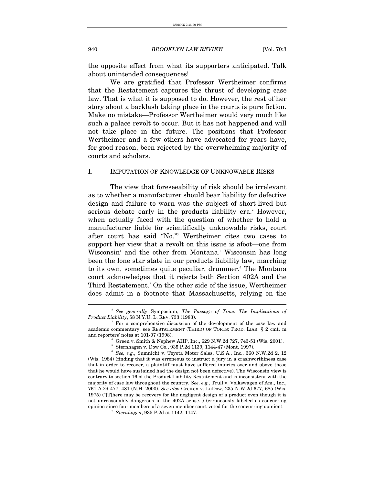940 *BROOKLYN LAW REVIEW* [Vol. 70:3

the opposite effect from what its supporters anticipated. Talk about unintended consequences!

We are gratified that Professor Wertheimer confirms that the Restatement captures the thrust of developing case law. That is what it is supposed to do. However, the rest of her story about a backlash taking place in the courts is pure fiction. Make no mistake—Professor Wertheimer would very much like such a palace revolt to occur. But it has not happened and will not take place in the future. The positions that Professor Wertheimer and a few others have advocated for years have, for good reason, been rejected by the overwhelming majority of courts and scholars.

### I. IMPUTATION OF KNOWLEDGE OF UNKNOWABLE RISKS

The view that foreseeability of risk should be irrelevant as to whether a manufacturer should bear liability for defective design and failure to warn was the subject of short-lived but seriousdebate early in the products liability era.<sup>2</sup> However, when actually faced with the question of whether to hold a manufacturer liable for scientifically unknowable risks, court after court has said "No."3 Wertheimer cites two cases to support her view that a revolt on this issue is afoot—one from Wisconsin<sup>[4](#page-2-2)</sup> and the other from Montana.<sup>[5](#page-2-3)</sup> Wisconsin has long been the lone star state in our products liability law, marching to its own, sometimes quite peculiar, drummer.<sup>[6](#page-2-4)</sup> The Montana court acknowledges that it rejects both Section 402A and the Third Restatement.7 On the other side of the issue, Wertheimer does admit in a footnote that Massachusetts, relying on the

<span id="page-2-0"></span><sup>2</sup>  *See generally* Symposium, *The Passage of Time: The Implications of Product Liability*, 58 N.Y.U. L. REV. 733 (1983). 3

For a comprehensive discussion of the development of the case law and academic commentary, see RESTATEMENT (THIRD) OF TORTS: PROD. LIAB. § 2 cmt. m and reporters' notes at  $101-07$  (1998).

<span id="page-2-2"></span><span id="page-2-1"></span>Green v. Smith & Nephew AHP, Inc., 629 N.W.2d 727, 743-51 (Wis. 2001).

<span id="page-2-4"></span><span id="page-2-3"></span><sup>5</sup> Sternhagen v. Dow Co., 935 P.2d 1139, 1144-47 (Mont. 1997).

<sup>6</sup>  *See, e.g.*, Sumnicht v. Toyota Motor Sales, U.S.A., Inc., 360 N.W.2d 2, 12 (Wis. 1984) (finding that it was erroneous to instruct a jury in a crashworthiness case that in order to recover, a plaintiff must have suffered injuries over and above those that he would have sustained had the design not been defective). The Wisconsin view is contrary to section 16 of the Product Liability Restatement and is inconsistent with the majority of case law throughout the country. *See, e.g.*, Trull v. Volkswagen of Am., Inc., 761 A.2d 477, 481 (N.H. 2000). *See also* Greiten v. LaDow, 235 N.W.2d 677, 685 (Wis. 1975) ("[T]here may be recovery for the negligent design of a product even though it is not unreasonably dangerous in the 402A sense.") (erroneously labeled as concurring opinion since four members of a seven member court voted for the concurring opinion). 7

<span id="page-2-5"></span>*Sternhagen*, 935 P.2d at 1142, 1147.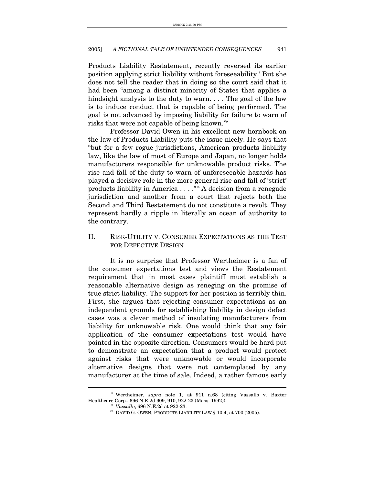Products Liability Restatement, recently reversed its earlier position applying strict liability without foreseeability.<sup>[8](#page-3-0)</sup> But she does not tell the reader that in doing so the court said that it had been "among a distinct minority of States that applies a hindsight analysis to the duty to warn. . . . The goal of the law is to induce conduct that is capable of being performed. The goal is not advanced by imposing liability for failure to warn of risks that were not capable of being known."[9](#page-3-1)

Professor David Owen in his excellent new hornbook on the law of Products Liability puts the issue nicely. He says that "but for a few rogue jurisdictions, American products liability law, like the law of most of Europe and Japan, no longer holds manufacturers responsible for unknowable product risks. The rise and fall of the duty to warn of unforeseeable hazards has played a decisive role in the more general rise and fall of 'strict' products liability in America . . . ."[10](#page-3-2) A decision from a renegade jurisdiction and another from a court that rejects both the Second and Third Restatement do not constitute a revolt. They represent hardly a ripple in literally an ocean of authority to the contrary.

## II. RISK-UTILITY V. CONSUMER EXPECTATIONS AS THE TEST FOR DEFECTIVE DESIGN

It is no surprise that Professor Wertheimer is a fan of the consumer expectations test and views the Restatement requirement that in most cases plaintiff must establish a reasonable alternative design as reneging on the promise of true strict liability. The support for her position is terribly thin. First, she argues that rejecting consumer expectations as an independent grounds for establishing liability in design defect cases was a clever method of insulating manufacturers from liability for unknowable risk. One would think that any fair application of the consumer expectations test would have pointed in the opposite direction. Consumers would be hard put to demonstrate an expectation that a product would protect against risks that were unknowable or would incorporate alternative designs that were not contemplated by any manufacturer at the time of sale. Indeed, a rather famous early

<sup>8</sup> Wertheimer, *supra* note 1, at 911 n.68 (citing Vassallo v. Baxter Healthcare Corp., 696 N.E.2d 909, 910, 922-23 (Mass. 1992)).<br><sup>9</sup> Vassallo, 696 N.E.2d at 922-23.

<span id="page-3-1"></span><span id="page-3-0"></span>

<span id="page-3-2"></span> $^{10}$  DAVID G. OWEN, PRODUCTS LIABILITY LAW  $\S$  10.4, at 700 (2005).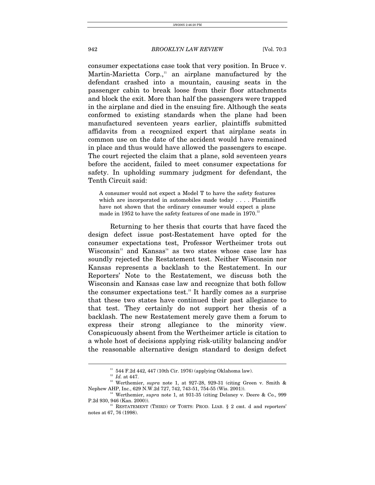consumer expectations case took that very position. In Bruce v. Martin-Marietta Corp., $n_{\text{in}}$  an airplane manufactured by the defendant crashed into a mountain, causing seats in the passenger cabin to break loose from their floor attachments and block the exit. More than half the passengers were trapped in the airplane and died in the ensuing fire. Although the seats conformed to existing standards when the plane had been manufactured seventeen years earlier, plaintiffs submitted affidavits from a recognized expert that airplane seats in common use on the date of the accident would have remained in place and thus would have allowed the passengers to escape. The court rejected the claim that a plane, sold seventeen years before the accident, failed to meet consumer expectations for safety. In upholding summary judgment for defendant, the Tenth Circuit said:

A consumer would not expect a Model T to have the safety features which are incorporated in automobiles made today . . . . Plaintiffs have not shown that the ordinary consumer would expect a plane made in 1952 to have the safety features of one made in  $1970^{12}$ 

Returning to her thesis that courts that have faced the design defect issue post-Restatement have opted for the consumer expectations test, Professor Wertheimer trots out  $Wiscosin<sup>13</sup>$  and Kansas<sup>14</sup> as two states whose case law has soundly rejected the Restatement test. Neither Wisconsin nor Kansas represents a backlash to the Restatement. In our Reporters' Note to the Restatement, we discuss both the Wisconsin and Kansas case law and recognize that both follow the consumer expectations test.<sup>15</sup> It hardly comes as a surprise that these two states have continued their past allegiance to that test. They certainly do not support her thesis of a backlash. The new Restatement merely gave them a forum to express their strong allegiance to the minority view. Conspicuously absent from the Wertheimer article is citation to a whole host of decisions applying risk-utility balancing and/or the reasonable alternative design standard to design defect

<span id="page-4-0"></span> $^{11}$  544 F.2d 442, 447 (10th Cir. 1976) (applying Oklahoma law).  $^{12}$   $\emph{Id.}$  at 447.

<span id="page-4-3"></span><span id="page-4-2"></span><span id="page-4-1"></span>

<sup>&</sup>lt;sup>13</sup> Werthemier, *supra* note 1, at 927-28, 929-31 (citing Green v. Smith & Nephew AHP, Inc., 629 N.W.2d 727, 742, 743-51, 754-55 (Wis. 2001)). 14 Werthemier, *supra* note 1, at 931-35 (citing Delaney v. Deere & Co., 999

P.2d 930, 946 (Kan. 2000)).<br><sup>15</sup> RESTATEMENT (THIRD) OF TORTS: PROD. LIAB. § 2 cmt. d and reporters'

<span id="page-4-4"></span>notes at 67, 76 (1998).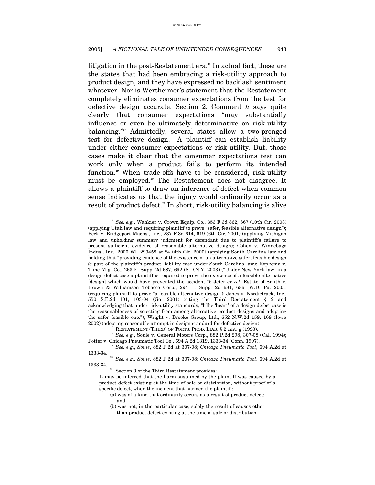litigation in the post-Restatement era.<sup>16</sup> In actual fact, these are the states that had been embracing a risk-utility approach to product design, and they have expressed no backlash sentiment whatever. Nor is Wertheimer's statement that the Restatement completely eliminates consumer expectations from the test for defective design accurate. Section 2, Comment *h* says quite clearly that consumer expectations "may substantially influence or even be ultimately determinative on risk-utility balancing."[17](#page-5-1) Admittedly, several states allow a two-pronged test for defective design.<sup>18</sup> A plaintiff can establish liability under either consumer expectations or risk-utility. But, those cases make it clear that the consumer expectations test can work only when a product fails to perform its intended function.<sup>19</sup> When trade-offs have to be considered, risk-utility must be employed.<sup>20</sup> The Restatement does not disagree. It allows a plaintiff to draw an inference of defect when common sense indicates us that the injury would ordinarily occur as a result of product defect.<sup>21</sup> In short, risk-utility balancing is alive

<span id="page-5-0"></span><sup>16</sup> *See, e.g.*, Wankier v. Crown Equip. Co., 353 F.3d 862, 867 (10th Cir. 2003) (applying Utah law and requiring plaintiff to prove "safer, feasible alternative design"); Peck v. Bridgeport Machs., Inc., 237 F.3d 614, 619 (6th Cir. 2001) (applying Michigan law and upholding summary judgment for defendant due to plaintiff's failure to present sufficient evidence of reasonable alternative design); Cohen v. Winnebago Indus., Inc., 2000 WL 299459 at \*4 (4th Cir. 2000) (applying South Carolina law and holding that "providing evidence of the existence of an alternative safer, feasible design *is* part of the plaintiff's product liability case under South Carolina law); Rypkema v. Time Mfg. Co., 263 F. Supp. 2d 687, 692 (S.D.N.Y. 2003) ("Under New York law, in a design defect case a plaintiff is required to prove the existence of a feasible alternative [design] which would have prevented the accident."); Jeter *ex rel*. Estate of Smith v. Brown & Williamson Tobacco Corp., 294 F. Supp. 2d 681, 686 (W.D. Pa. 2003) (requiring plaintiff to prove "a feasible alternative design"); Jones v. Nordictrack, Inc., 550 S.E.2d 101, 103-04 (Ga. 2001) (citing the Third Restatement § 2 and acknowledging that under risk-utility standards, "[t]he 'heart' of a design defect case is the reasonableness of selecting from among alternative product designs and adopting the safer feasible one."); Wright v. Brooke Group, Ltd., 652 N.W.2d 159, 169 (Iowa

<span id="page-5-3"></span><span id="page-5-2"></span><span id="page-5-1"></span>

<sup>2002) (</sup>adopting reasonable attempt in design standard for defective design).<br>
<sup>17</sup> RESTATEMENT (THIRD) OF TORTS: PROD. LIAB. § 2 cmt. g (1998).<br>
<sup>18</sup> *See, e.g.*, Soule v. General Motors Corp., 882 P.2d 298, 307-08 (Cal.

<sup>&</sup>lt;sup>19</sup> See, e.g., *Soule*, 882 P.2d at 307-08; *Chicago Pneumatic Tool*, 694 A.2d at 1333-34.

<sup>1333-34. 20</sup> *See, e.g.*, *Soule*, 882 P.2d at 307-08; *Chicago Pneumatic Tool*, 694 A.2d at

<span id="page-5-5"></span><span id="page-5-4"></span> $^{\mbox{{\tiny 21}}}$  Section 3 of the Third Restatement provides:

It may be inferred that the harm sustained by the plaintiff was caused by a product defect existing at the time of sale or distribution, without proof of a specific defect, when the incident that harmed the plaintiff:

<sup>(</sup>a) was of a kind that ordinarily occurs as a result of product defect; and

<sup>(</sup>b) was not, in the particular case, solely the result of causes other than product defect existing at the time of sale or distribution.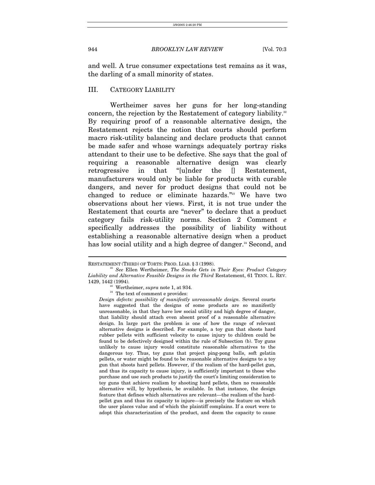$\overline{a}$ 

944 *BROOKLYN LAW REVIEW* [Vol. 70:3

and well. A true consumer expectations test remains as it was, the darling of a small minority of states.

### III. CATEGORY LIABILITY

Wertheimer saves her guns for her long-standing concern, the rejection by the Restatement of category liability.<sup>[22](#page-6-0)</sup> By requiring proof of a reasonable alternative design, the Restatement rejects the notion that courts should perform macro risk-utility balancing and declare products that cannot be made safer and whose warnings adequately portray risks attendant to their use to be defective. She says that the goal of requiring a reasonable alternative design was clearly retrogressive in that "[u]nder the [] Restatement, manufacturers would only be liable for products with curable dangers, and never for product designs that could not be changed to reduce or eliminate hazards."[23](#page-6-1) We have two observations about her views. First, it is not true under the Restatement that courts are "never" to declare that a product category fails risk-utility norms. Section 2 Comment *e* specifically addresses the possibility of liability without establishing a reasonable alternative design when a product has low social utility and a high degree of danger.<sup>24</sup> Second, and

RESTATEMENT (THIRD) OF TORTS: PROD. LIAB. § <sup>3</sup> (1998). 22 *See* Ellen Wertheimer, *The Smoke Gets in Their Eyes: Product Category Liability and Alternative Feasible Designs in the Third* Restatement, 61 TENN. L. REV. 1429, 1442 (1994). 23 Wertheimer, *supra* note 1, at 934. 24 The text of comment e provides:

<span id="page-6-1"></span><span id="page-6-0"></span>

<span id="page-6-2"></span>

*Design defects: possibility of manifestly unreasonable design.* Several courts have suggested that the designs of some products are so manifestly unreasonable, in that they have low social utility and high degree of danger, that liability should attach even absent proof of a reasonable alternative design. In large part the problem is one of how the range of relevant alternative designs is described. For example, a toy gun that shoots hard rubber pellets with sufficient velocity to cause injury to children could be found to be defectively designed within the rule of Subsection (b). Toy guns unlikely to cause injury would constitute reasonable alternatives to the dangerous toy. Thus, toy guns that project ping-pong balls, soft gelatin pellets, or water might be found to be reasonable alternative designs to a toy gun that shoots hard pellets. However, if the realism of the hard-pellet gun, and thus its capacity to cause injury, is sufficiently important to those who purchase and use such products to justify the court's limiting consideration to toy guns that achieve realism by shooting hard pellets, then no reasonable alternative will, by hypothesis, be available. In that instance, the design feature that defines which alternatives are relevant—the realism of the hardpellet gun and thus its capacity to injure—is precisely the feature on which the user places value and of which the plaintiff complains. If a court were to adopt this characterization of the product, and deem the capacity to cause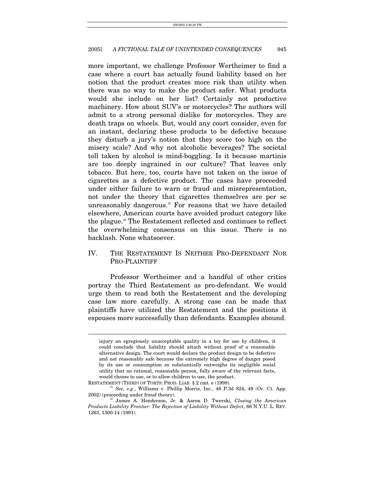more important, we challenge Professor Wertheimer to find a case where a court has actually found liability based on her notion that the product creates more risk than utility when there was no way to make the product safer. What products would she include on her list? Certainly not productive machinery. How about SUV's or motorcycles? The authors will admit to a strong personal dislike for motorcycles. They are death traps on wheels. But, would any court consider, even for an instant, declaring these products to be defective because they disturb a jury's notion that they score too high on the misery scale? And why not alcoholic beverages? The societal toll taken by alcohol is mind-boggling. Is it because martinis are too deeply ingrained in our culture? That leaves only tobacco. But here, too, courts have not taken on the issue of cigarettes as a defective product. The cases have proceeded under either failure to warn or fraud and misrepresentation, not under the theory that cigarettes themselves are per se unreasonably dangerous.<sup>25</sup> For reasons that we have detailed elsewhere, American courts have avoided product category like the plague.<sup>26</sup> The Restatement reflected and continues to reflect the overwhelming consensus on this issue. There is no backlash. None whatsoever.

## IV. THE RESTATEMENT IS NEITHER PRO-DEFENDANT NOR PRO-PLAINTIFF

Professor Wertheimer and a handful of other critics portray the Third Restatement as pro-defendant. We would urge them to read both the Restatement and the developing case law more carefully. A strong case can be made that plaintiffs have utilized the Restatement and the positions it espouses more successfully than defendants. Examples abound.

injury an egregiously unacceptable quality in a toy for use by children, it could conclude that liability should attach without proof of a reasonable alternative design. The court would declare the product design to be defective and not reasonably safe because the extremely high degree of danger posed by its use or consumption so substantially outweighs its negligible social utility that no rational, reasonable person, fully aware of the relevant facts, would choose to use, or to allow children to use, the product.

<span id="page-7-0"></span>

RESTATEMENT (THIRD) OF TORTS: PROD. LIAB. § 2 cmt. e (1998). 25 *See, e.g.*, Williams v. Phillip Morris, Inc., 48 P.3d 824, 49 (Or. Ct. App. 2002) (proceeding under fraud theory). 26 James A. Henderson, Jr. & Aaron D. Twerski, *Closing the American* 

<span id="page-7-1"></span>*Products Liability Frontier: The Rejection of Liability Without Defect*, 66 N.Y.U. L. REV. 1263, 1300-14 (1991).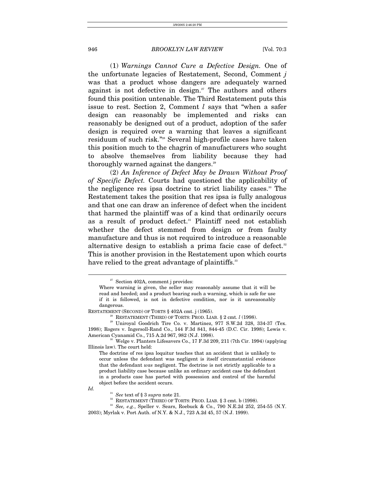#### 946 *BROOKLYN LAW REVIEW* [Vol. 70:3

(1) *Warnings Cannot Cure a Defective Design.* One of the unfortunate legacies of Restatement, Second, Comment *j* was that a product whose dangers are adequately warned against is not defective in design.<sup>27</sup> The authors and others found this position untenable. The Third Restatement puts this issue to rest. Section 2, Comment *l* says that "when a safer design can reasonably be implemented and risks can reasonably be designed out of a product, adoption of the safer design is required over a warning that leaves a significant residuum of such risk."[28](#page-8-1) Several high-profile cases have taken this position much to the chagrin of manufacturers who sought to absolve themselves from liability because they had thoroughly warned against the dangers.<sup>[29](#page-8-2)</sup>

(2) *An Inference of Defect May be Drawn Without Proof of Specific Defect.* Courts had questioned the applicability of the negligence res ipsa doctrine to strict liability cases.<sup>30</sup> The Restatement takes the position that res ipsa is fully analogous and that one can draw an inference of defect when the incident that harmed the plaintiff was of a kind that ordinarily occurs as a result of product defect.<sup>31</sup> Plaintiff need not establish whether the defect stemmed from design or from faulty manufacture and thus is not required to introduce a reasonable alternative design to establish a prima facie case of defect.<sup>[32](#page-8-5)</sup> This is another provision in the Restatement upon which courts have relied to the great advantage of plaintiffs.<sup>33</sup>

*Id.* 

<span id="page-8-0"></span> $27$  Section 402A, comment j provides:

Where warning is given, the seller may reasonably assume that it will be read and heeded; and a product bearing such a warning, which is safe for use if it is followed, is not in defective condition, nor is it unreasonably dangerous.

<span id="page-8-2"></span><span id="page-8-1"></span>

RESTATEMENT (SECOND) OF TORTS § 402A cmt. j (1965).<br><sup>28</sup> RESTATEMENT (THIRD) OF TORTS: PROD. LIAB. § 2 cmt. *l* (1998).<br><sup>29</sup> Uniroyal Goodrich Tire Co. v. Martinez, 977 S.W.2d 328, 334-37 (Tex. 1998); Rogers v. Ingersoll-Rand Co., 144 F.3d 841, 844-45 (D.C. Cir. 1998); Lewis v. American Cyanamid Co., 715 A.2d 967, 982 (N.J. 1998).<br><sup>30</sup> Welge v. Planters Lifesavers Co., 17 F.3d 209, 211 (7th Cir. 1994) (applying

Illinois law). The court held:

<span id="page-8-3"></span>The doctrine of res ipsa loquitur teaches that an accident that is unlikely to occur unless the defendant was negligent is itself circumstantial evidence that the defendant *was* negligent. The doctrine is not strictly applicable to a product liability case because unlike an ordinary accident case the defendant in a products case has parted with possession and control of the harmful object before the accident occurs.

<span id="page-8-4"></span>

<span id="page-8-6"></span><span id="page-8-5"></span>

<sup>&</sup>lt;sup>31</sup> See text of § 3 *supra* note 21.<br><sup>32</sup> RESTATEMENT (THIRD) OF TORTS: PROD. LIAB. § 3 cmt. b (1998).  $\frac{32}{100}$  See, e.g., Speller v. Sears, Roebuck & Co., 790 N.E.2d 252, 254-55 (N.Y.

<sup>2003);</sup> Myrlak v. Port Auth. of N.Y. & N.J., 723 A.2d 45, 57 (N.J. 1999).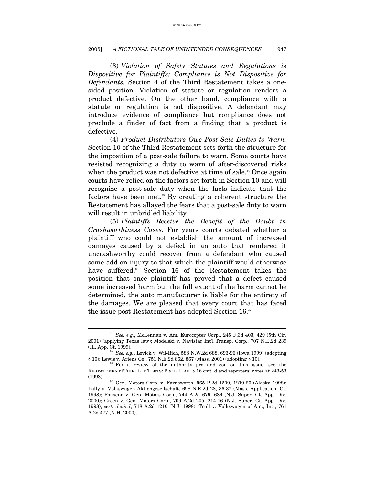(3) *Violation of Safety Statutes and Regulations is Dispositive for Plaintiffs; Compliance is Not Dispositive for Defendants.* Section 4 of the Third Restatement takes a onesided position. Violation of statute or regulation renders a product defective. On the other hand, compliance with a statute or regulation is not dispositive. A defendant may introduce evidence of compliance but compliance does not preclude a finder of fact from a finding that a product is defective.

(4) *Product Distributors Owe Post-Sale Duties to Warn.* Section 10 of the Third Restatement sets forth the structure for the imposition of a post-sale failure to warn. Some courts have resisted recognizing a duty to warn of after-discovered risks when the product was not defective at time of sale.<sup>34</sup> Once again courts have relied on the factors set forth in Section 10 and will recognize a post-sale duty when the facts indicate that the factors have been met.<sup>35</sup> By creating a coherent structure the Restatement has allayed the fears that a post-sale duty to warn will result in unbridled liability.

(5) *Plaintiffs Receive the Benefit of the Doubt in Crashworthiness Cases.* For years courts debated whether a plaintiff who could not establish the amount of increased damages caused by a defect in an auto that rendered it uncrashworthy could recover from a defendant who caused some add-on injury to that which the plaintiff would otherwise have suffered.<sup>36</sup> Section 16 of the Restatement takes the position that once plaintiff has proved that a defect caused some increased harm but the full extent of the harm cannot be determined, the auto manufacturer is liable for the entirety of the damages. We are pleased that every court that has faced the issue post-Restatement has adopted Section 16.<sup>[37](#page-9-3)</sup>

<span id="page-9-0"></span><sup>34</sup> *See, e.g.*, McLennan v. Am. Eurocopter Corp., 245 F.3d 403, 429 (5th Cir. 2001) (applying Texas law); Modelski v. Navistar Int'l Transp. Corp., 707 N.E.2d 239 (Ill. App. Ct. 1999). 35 *See, e.g.*, Lovick v. Wil-Rich, 588 N.W.2d 688, 693-96 (Iowa 1999) (adopting

<span id="page-9-1"></span><sup>§ 10);</sup> Lewis v. Ariens Co., 751 N.E.2d 862, 867 (Mass. 2001) (adopting § 10). <sup>36</sup> For a review of the authority pro and con on this issue, see the

<span id="page-9-2"></span>RESTATEMENT (THIRD) OF TORTS: PROD. LIAB. § 16 cmt. d and reporters' notes at 243-53 (1998).

<span id="page-9-3"></span> $37$  Gen. Motors Corp. v. Farnsworth, 965 P.2d 1209, 1219-20 (Alaska 1998); Lally v. Volkswagen Aktiengesellschaft, 698 N.E.2d 28, 36-37 (Mass. Application. Ct. 1998); Poliseno v. Gen. Motors Corp., 744 A.2d 679, 686 (N.J. Super. Ct. App. Div. 2000); Green v. Gen. Motors Corp., 709 A.2d 205, 214-16 (N.J. Super. Ct. App. Div. 1998); *cert. denied*, 718 A.2d 1210 (N.J. 1998); Trull v. Volkswagen of Am., Inc., 761 A.2d 477 (N.H. 2000).